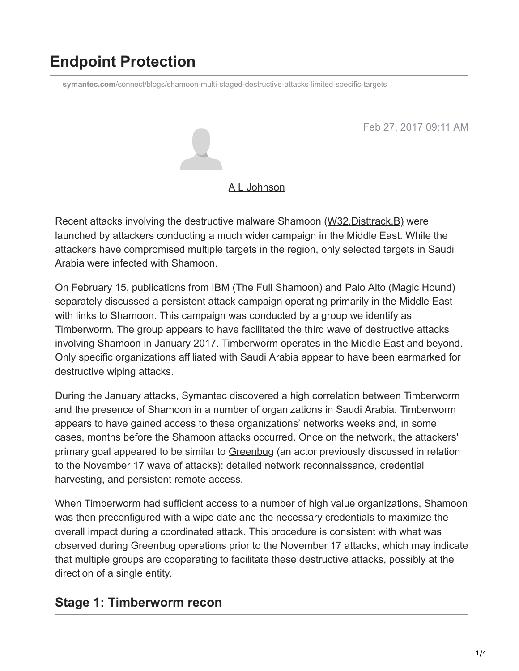# **Endpoint Protection**

**symantec.com**[/connect/blogs/shamoon-multi-staged-destructive-attacks-limited-specific-targets](https://www.symantec.com/connect/blogs/shamoon-multi-staged-destructive-attacks-limited-specific-targets)

Feb 27, 2017 09:11 AM



#### [A L Johnson](https://community.broadcom.com/symantecenterprise/network/members/profile?UserKey=cbd453fd-3ce1-4c47-af77-d746256f9bc4)

Recent attacks involving the destructive malware Shamoon [\(W32.Disttrack.B\)](https://www.symantec.com/security_response/writeup.jsp?docid=2016-112300-5555-99) were launched by attackers conducting a much wider campaign in the Middle East. While the attackers have compromised multiple targets in the region, only selected targets in Saudi Arabia were infected with Shamoon.

On February 15, publications from **[IBM](https://securityintelligence.com/the-full-shamoon-how-the-devastating-malware-was-inserted-into-networks/)** (The Full Shamoon) and **Palo Alto (Magic Hound)** separately discussed a persistent attack campaign operating primarily in the Middle East with links to Shamoon. This campaign was conducted by a group we identify as Timberworm. The group appears to have facilitated the third wave of destructive attacks involving Shamoon in January 2017. Timberworm operates in the Middle East and beyond. Only specific organizations affiliated with Saudi Arabia appear to have been earmarked for destructive wiping attacks.

During the January attacks, Symantec discovered a high correlation between Timberworm and the presence of Shamoon in a number of organizations in Saudi Arabia. Timberworm appears to have gained access to these organizations' networks weeks and, in some cases, months before the Shamoon attacks occurred. Once on the network, the attackers' primary goal appeared to be similar to [Greenbug](https://community.broadcom.com/symantecenterprise/viewdocument?DocumentKey=dbb48763-8f17-49c7-8c09-813e97a62b37&CommunityKey=1ecf5f55-9545-44d6-b0f4-4e4a7f5f5e68&tab=librarydocuments) (an actor previously discussed in relation to the November 17 wave of attacks): detailed network reconnaissance, credential harvesting, and persistent remote access.

When Timberworm had sufficient access to a number of high value organizations, Shamoon was then preconfigured with a wipe date and the necessary credentials to maximize the overall impact during a coordinated attack. This procedure is consistent with what was observed during Greenbug operations prior to the November 17 attacks, which may indicate that multiple groups are cooperating to facilitate these destructive attacks, possibly at the direction of a single entity.

### **Stage 1: Timberworm recon**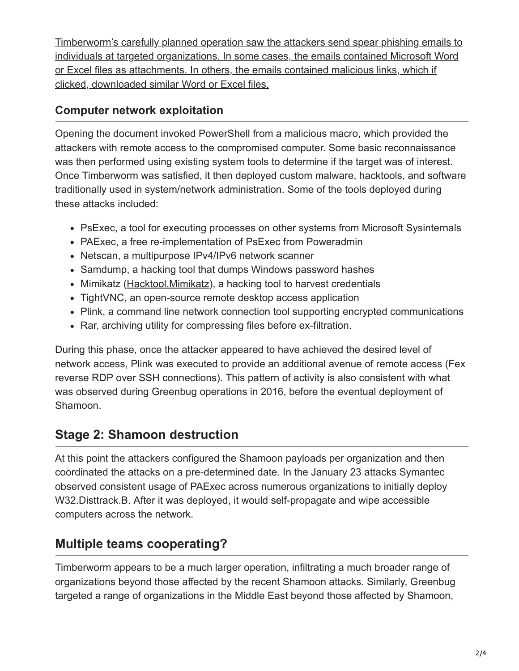Timberworm's carefully planned operation saw the attackers send spear phishing emails to individuals at targeted organizations. In some cases, the emails contained Microsoft Word or Excel files as attachments. In others, the emails contained malicious links, which if clicked, downloaded similar Word or Excel files.

### **Computer network exploitation**

Opening the document invoked PowerShell from a malicious macro, which provided the attackers with remote access to the compromised computer. Some basic reconnaissance was then performed using existing system tools to determine if the target was of interest. Once Timberworm was satisfied, it then deployed custom malware, hacktools, and software traditionally used in system/network administration. Some of the tools deployed during these attacks included:

- PsExec, a tool for executing processes on other systems from Microsoft Sysinternals
- PAExec, a free re-implementation of PsExec from Poweradmin
- Netscan, a multipurpose IPv4/IPv6 network scanner
- Samdump, a hacking tool that dumps Windows password hashes
- Mimikatz ([Hacktool.Mimikatz\)](https://www.symantec.com/security_response/writeup.jsp?docid=2012-042615-3731-99&tabid=2), a hacking tool to harvest credentials
- TightVNC, an open-source remote desktop access application
- Plink, a command line network connection tool supporting encrypted communications
- Rar, archiving utility for compressing files before ex-filtration.

During this phase, once the attacker appeared to have achieved the desired level of network access, Plink was executed to provide an additional avenue of remote access (Fex reverse RDP over SSH connections). This pattern of activity is also consistent with what was observed during Greenbug operations in 2016, before the eventual deployment of Shamoon.

# **Stage 2: Shamoon destruction**

At this point the attackers configured the Shamoon payloads per organization and then coordinated the attacks on a pre-determined date. In the January 23 attacks Symantec observed consistent usage of PAExec across numerous organizations to initially deploy W32.Disttrack.B. After it was deployed, it would self-propagate and wipe accessible computers across the network.

# **Multiple teams cooperating?**

Timberworm appears to be a much larger operation, infiltrating a much broader range of organizations beyond those affected by the recent Shamoon attacks. Similarly, Greenbug targeted a range of organizations in the Middle East beyond those affected by Shamoon,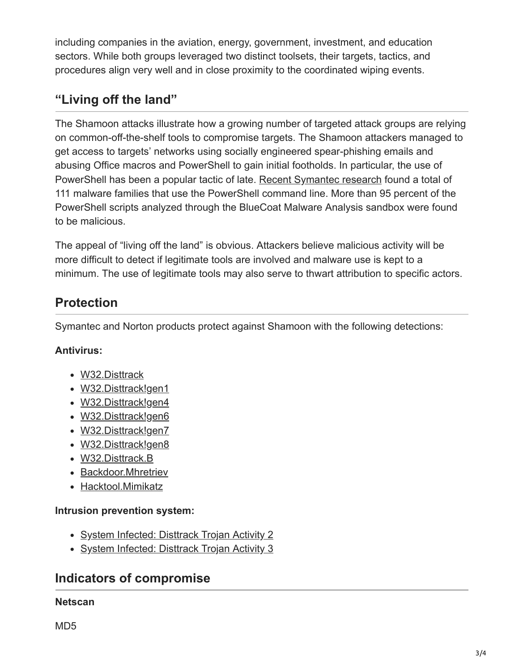including companies in the aviation, energy, government, investment, and education sectors. While both groups leveraged two distinct toolsets, their targets, tactics, and procedures align very well and in close proximity to the coordinated wiping events.

# **"Living off the land"**

The Shamoon attacks illustrate how a growing number of targeted attack groups are relying on common-off-the-shelf tools to compromise targets. The Shamoon attackers managed to get access to targets' networks using socially engineered spear-phishing emails and abusing Office macros and PowerShell to gain initial footholds. In particular, the use of PowerShell has been a popular tactic of late. [Recent Symantec research](https://community.broadcom.com/symantecenterprise/viewdocument?DocumentKey=cbd24b89-1022-4fe8-800d-a362f3d4cf06&CommunityKey=1ecf5f55-9545-44d6-b0f4-4e4a7f5f5e68&tab=librarydocuments) found a total of 111 malware families that use the PowerShell command line. More than 95 percent of the PowerShell scripts analyzed through the BlueCoat Malware Analysis sandbox were found to be malicious.

The appeal of "living off the land" is obvious. Attackers believe malicious activity will be more difficult to detect if legitimate tools are involved and malware use is kept to a minimum. The use of legitimate tools may also serve to thwart attribution to specific actors.

# **Protection**

Symantec and Norton products protect against Shamoon with the following detections:

#### **Antivirus:**

- [W32.Disttrack](https://www.symantec.com/security_response/writeup.jsp?docid=2012-081608-0202-99)
- [W32.Disttrack!gen1](https://www.symantec.com/security_response/writeup.jsp?docid=2012-081708-3504-99)
- [W32.Disttrack!gen4](https://www.symantec.com/security_response/writeup.jsp?docid=2012-090306-5105-99)
- [W32.Disttrack!gen6](https://www.symantec.com/security_response/writeup.jsp?docid=2012-090306-5953-99)
- [W32.Disttrack!gen7](https://www.symantec.com/security_response/writeup.jsp?docid=2012-091717-3231-99)
- [W32.Disttrack!gen8](https://www.symantec.com/security_response/writeup.jsp?docid=2012-091313-2116-99)
- [W32.Disttrack.B](https://www.symantec.com/security_response/writeup.jsp?docid=2016-112300-5555-99)
- [Backdoor.Mhretriev](https://www.symantec.com/security_response/writeup.jsp?docid=2017-022712-2204-99)
- [Hacktool.Mimikatz](https://www.symantec.com/security_response/writeup.jsp?docid=2012-042615-3731-99&tabid=2)

#### **Intrusion prevention system:**

- [System Infected: Disttrack Trojan Activity 2](https://www.symantec.com/security_response/attacksignatures/detail.jsp?asid=25885)
- [System Infected: Disttrack Trojan Activity 3](https://www.symantec.com/security_response/attacksignatures/detail.jsp?asid=25926)

### **Indicators of compromise**

#### **Netscan**